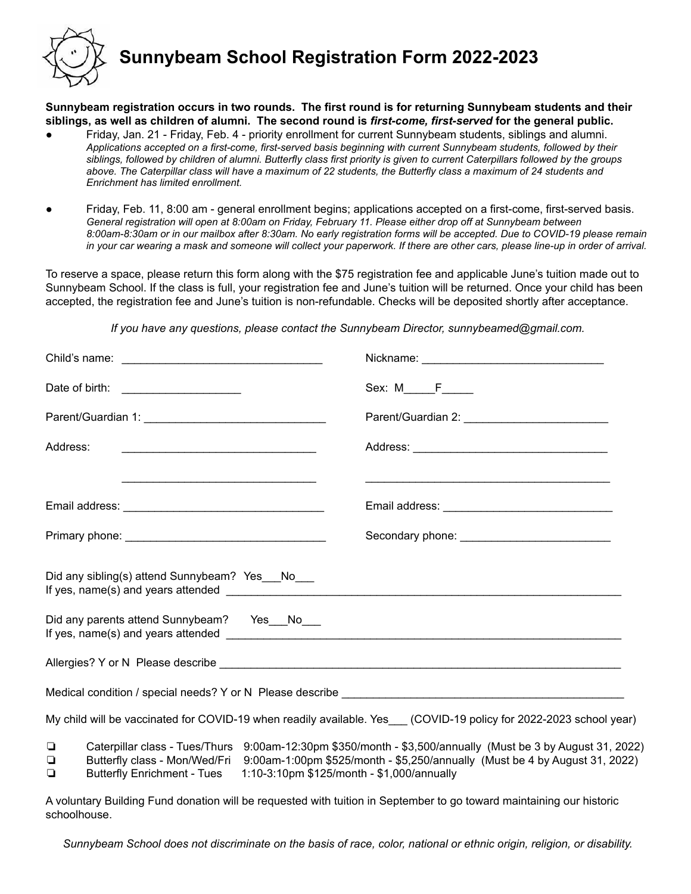

## **Sunnybeam School Registration Form 2022-2023**

**Sunnybeam registration occurs in two rounds. The first round is for returning Sunnybeam students and their** siblings, as well as children of alumni. The second round is first-come, first-served for the general public.

- Friday, Jan. 21 Friday, Feb. 4 priority enrollment for current Sunnybeam students, siblings and alumni. *Applications accepted on a first-come, first-served basis beginning with current Sunnybeam students, followed by their siblings, followed by children of alumni. Butterfly class first priority is given to current Caterpillars followed by the groups above. The Caterpillar class will have a maximum of 22 students, the Butterfly class a maximum of 24 students and Enrichment has limited enrollment.*
- Friday, Feb. 11, 8:00 am general enrollment begins; applications accepted on a first-come, first-served basis. *General registration will open at 8:00am on Friday, February 11. Please either drop off at Sunnybeam between 8:00am-8:30am or in our mailbox after 8:30am. No early registration forms will be accepted. Due to COVID-19 please remain in your car wearing a mask and someone will collect your paperwork. If there are other cars, please line-up in order of arrival.*

To reserve a space, please return this form along with the \$75 registration fee and applicable June's tuition made out to Sunnybeam School. If the class is full, your registration fee and June's tuition will be returned. Once your child has been accepted, the registration fee and June's tuition is non-refundable. Checks will be deposited shortly after acceptance.

*If you have any questions, please contact the Sunnybeam Director, sunnybeamed@gmail.com.*

|                  | Date of birth: ________________________                             | $Sex: M \f$                                                                                                                                                                                                                              |
|------------------|---------------------------------------------------------------------|------------------------------------------------------------------------------------------------------------------------------------------------------------------------------------------------------------------------------------------|
|                  |                                                                     |                                                                                                                                                                                                                                          |
| Address:         | <u> 1989 - Johann Barn, mars et al. (b. 1989)</u>                   |                                                                                                                                                                                                                                          |
|                  |                                                                     |                                                                                                                                                                                                                                          |
|                  |                                                                     |                                                                                                                                                                                                                                          |
|                  |                                                                     |                                                                                                                                                                                                                                          |
|                  | Did any sibling(s) attend Sunnybeam? Yes__No__                      |                                                                                                                                                                                                                                          |
|                  | Did any parents attend Sunnybeam? Yes__No__                         |                                                                                                                                                                                                                                          |
|                  |                                                                     |                                                                                                                                                                                                                                          |
|                  |                                                                     |                                                                                                                                                                                                                                          |
|                  |                                                                     | My child will be vaccinated for COVID-19 when readily available. Yes___ (COVID-19 policy for 2022-2023 school year)                                                                                                                      |
| $\Box$<br>◘<br>❏ | Butterfly class - Mon/Wed/Fri<br><b>Butterfly Enrichment - Tues</b> | Caterpillar class - Tues/Thurs 9:00am-12:30pm \$350/month - \$3,500/annually (Must be 3 by August 31, 2022)<br>9:00am-1:00pm \$525/month - \$5,250/annually (Must be 4 by August 31, 2022)<br>1:10-3:10pm \$125/month - \$1,000/annually |

A voluntary Building Fund donation will be requested with tuition in September to go toward maintaining our historic schoolhouse.

Sunnybeam School does not discriminate on the basis of race, color, national or ethnic origin, religion, or disability.